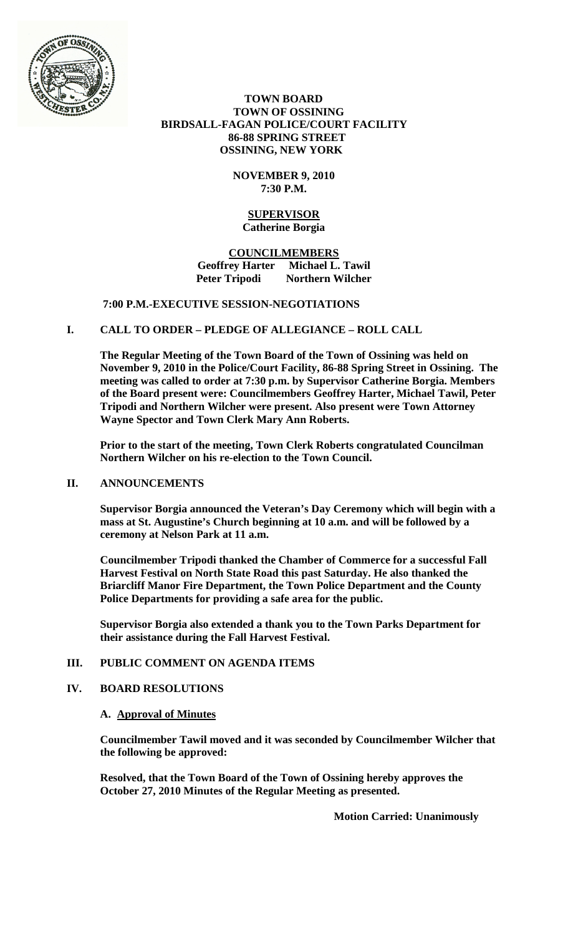

 **TOWN BOARD TOWN OF OSSINING BIRDSALL-FAGAN POLICE/COURT FACILITY 86-88 SPRING STREET OSSINING, NEW YORK**

## **NOVEMBER 9, 2010 7:30 P.M.**

#### **SUPERVISOR Catherine Borgia**

## **COUNCILMEMBERS Geoffrey Harter Michael L. Tawil Northern Wilcher**

## **7:00 P.M.-EXECUTIVE SESSION-NEGOTIATIONS**

## **I. CALL TO ORDER – PLEDGE OF ALLEGIANCE – ROLL CALL**

**The Regular Meeting of the Town Board of the Town of Ossining was held on November 9, 2010 in the Police/Court Facility, 86-88 Spring Street in Ossining. The meeting was called to order at 7:30 p.m. by Supervisor Catherine Borgia. Members of the Board present were: Councilmembers Geoffrey Harter, Michael Tawil, Peter Tripodi and Northern Wilcher were present. Also present were Town Attorney Wayne Spector and Town Clerk Mary Ann Roberts.**

**Prior to the start of the meeting, Town Clerk Roberts congratulated Councilman Northern Wilcher on his re-election to the Town Council.**

#### **II. ANNOUNCEMENTS**

**Supervisor Borgia announced the Veteran's Day Ceremony which will begin with a mass at St. Augustine's Church beginning at 10 a.m. and will be followed by a ceremony at Nelson Park at 11 a.m.**

**Councilmember Tripodi thanked the Chamber of Commerce for a successful Fall Harvest Festival on North State Road this past Saturday. He also thanked the Briarcliff Manor Fire Department, the Town Police Department and the County Police Departments for providing a safe area for the public.** 

**Supervisor Borgia also extended a thank you to the Town Parks Department for their assistance during the Fall Harvest Festival.**

## **III. PUBLIC COMMENT ON AGENDA ITEMS**

## **IV. BOARD RESOLUTIONS**

#### **A. Approval of Minutes**

**Councilmember Tawil moved and it was seconded by Councilmember Wilcher that the following be approved:**

**Resolved, that the Town Board of the Town of Ossining hereby approves the October 27, 2010 Minutes of the Regular Meeting as presented.**

**Motion Carried: Unanimously**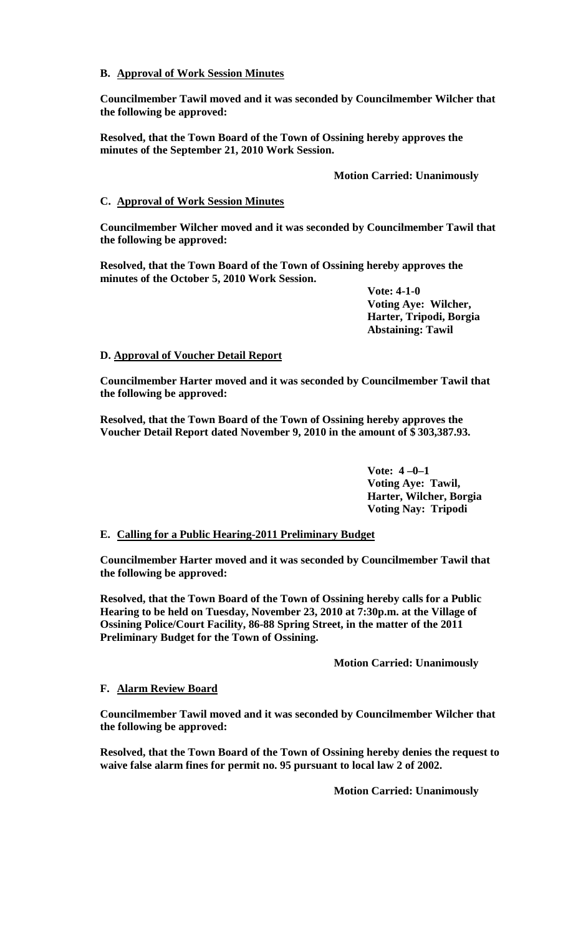## **B. Approval of Work Session Minutes**

**Councilmember Tawil moved and it was seconded by Councilmember Wilcher that the following be approved:**

**Resolved, that the Town Board of the Town of Ossining hereby approves the minutes of the September 21, 2010 Work Session.**

**Motion Carried: Unanimously**

## **C. Approval of Work Session Minutes**

**Councilmember Wilcher moved and it was seconded by Councilmember Tawil that the following be approved:**

**Resolved, that the Town Board of the Town of Ossining hereby approves the minutes of the October 5, 2010 Work Session.**

> **Vote: 4-1-0 Voting Aye: Wilcher, Harter, Tripodi, Borgia Abstaining: Tawil**

## **D. Approval of Voucher Detail Report**

**Councilmember Harter moved and it was seconded by Councilmember Tawil that the following be approved:**

**Resolved, that the Town Board of the Town of Ossining hereby approves the Voucher Detail Report dated November 9, 2010 in the amount of \$ 303,387.93.**

> **Vote: 4 –0–1 Voting Aye: Tawil, Harter, Wilcher, Borgia Voting Nay: Tripodi**

# **E. Calling for a Public Hearing-2011 Preliminary Budget**

**Councilmember Harter moved and it was seconded by Councilmember Tawil that the following be approved:**

**Resolved, that the Town Board of the Town of Ossining hereby calls for a Public Hearing to be held on Tuesday, November 23, 2010 at 7:30p.m. at the Village of Ossining Police/Court Facility, 86-88 Spring Street, in the matter of the 2011 Preliminary Budget for the Town of Ossining.** 

**Motion Carried: Unanimously**

## **F. Alarm Review Board**

**Councilmember Tawil moved and it was seconded by Councilmember Wilcher that the following be approved:**

**Resolved, that the Town Board of the Town of Ossining hereby denies the request to waive false alarm fines for permit no. 95 pursuant to local law 2 of 2002.**

**Motion Carried: Unanimously**